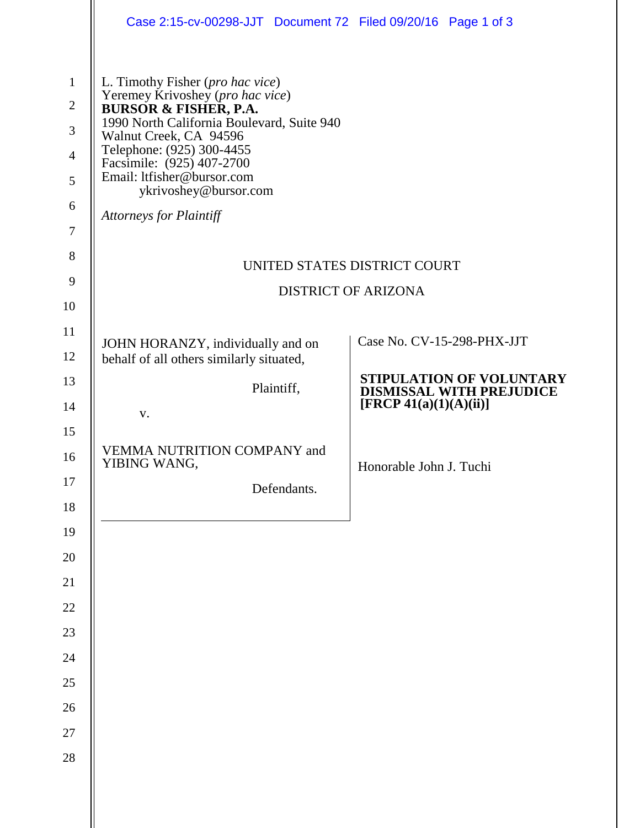|                                                                                                | Case 2:15-cv-00298-JJT Document 72 Filed 09/20/16 Page 1 of 3                                                                                                                                                                                                                                                                       |                                                             |
|------------------------------------------------------------------------------------------------|-------------------------------------------------------------------------------------------------------------------------------------------------------------------------------------------------------------------------------------------------------------------------------------------------------------------------------------|-------------------------------------------------------------|
| $\mathbf{1}$<br>$\mathbf{2}$<br>$\mathfrak{Z}$<br>$\overline{4}$<br>5<br>6<br>$\boldsymbol{7}$ | L. Timothy Fisher (pro hac vice)<br>Yeremey Krivoshey (pro hac vice)<br><b>BURSOR &amp; FISHER, P.A.</b><br>1990 North California Boulevard, Suite 940<br>Walnut Creek, CA 94596<br>Telephone: (925) 300-4455<br>Facsimile: (925) 407-2700<br>Email: ltfisher@bursor.com<br>ykrivoshey@bursor.com<br><b>Attorneys for Plaintiff</b> |                                                             |
| 8                                                                                              | UNITED STATES DISTRICT COURT                                                                                                                                                                                                                                                                                                        |                                                             |
| 9                                                                                              | <b>DISTRICT OF ARIZONA</b>                                                                                                                                                                                                                                                                                                          |                                                             |
| 10<br>11                                                                                       |                                                                                                                                                                                                                                                                                                                                     |                                                             |
| 12                                                                                             | JOHN HORANZY, individually and on<br>behalf of all others similarly situated,                                                                                                                                                                                                                                                       | Case No. CV-15-298-PHX-JJT                                  |
| 13                                                                                             | Plaintiff,                                                                                                                                                                                                                                                                                                                          | STIPULATION OF VOLUNTARY<br><b>DISMISSAL WITH PREJUDICE</b> |
| 14                                                                                             | V.                                                                                                                                                                                                                                                                                                                                  | [FRCP 41(a)(1)(A)(ii)]                                      |
| 15                                                                                             | VEMMA NUTRITION COMPANY and                                                                                                                                                                                                                                                                                                         |                                                             |
| 16                                                                                             | YIBING WANG,                                                                                                                                                                                                                                                                                                                        | Honorable John J. Tuchi                                     |
| $17\,$<br>18                                                                                   | Defendants.                                                                                                                                                                                                                                                                                                                         |                                                             |
| 19                                                                                             |                                                                                                                                                                                                                                                                                                                                     |                                                             |
| 20                                                                                             |                                                                                                                                                                                                                                                                                                                                     |                                                             |
| 21                                                                                             |                                                                                                                                                                                                                                                                                                                                     |                                                             |
| $22\,$                                                                                         |                                                                                                                                                                                                                                                                                                                                     |                                                             |
| $23\,$                                                                                         |                                                                                                                                                                                                                                                                                                                                     |                                                             |
| 24                                                                                             |                                                                                                                                                                                                                                                                                                                                     |                                                             |
| $25\,$                                                                                         |                                                                                                                                                                                                                                                                                                                                     |                                                             |
| 26                                                                                             |                                                                                                                                                                                                                                                                                                                                     |                                                             |
| $27\,$                                                                                         |                                                                                                                                                                                                                                                                                                                                     |                                                             |
| $28\,$                                                                                         |                                                                                                                                                                                                                                                                                                                                     |                                                             |
|                                                                                                |                                                                                                                                                                                                                                                                                                                                     |                                                             |
|                                                                                                |                                                                                                                                                                                                                                                                                                                                     |                                                             |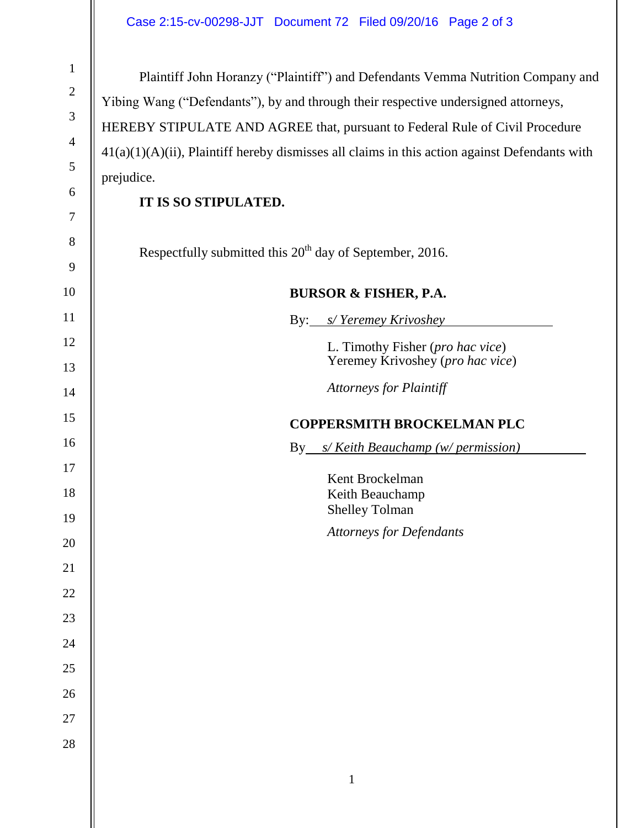Plaintiff John Horanzy ("Plaintiff") and Defendants Vemma Nutrition Company and Yibing Wang ("Defendants"), by and through their respective undersigned attorneys, HEREBY STIPULATE AND AGREE that, pursuant to Federal Rule of Civil Procedure  $41(a)(1)(A)(ii)$ , Plaintiff hereby dismisses all claims in this action against Defendants with prejudice.

## **IT IS SO STIPULATED.**

Respectfully submitted this  $20<sup>th</sup>$  day of September, 2016.

## **BURSOR & FISHER, P.A.**

By: *s/ Yeremey Krivoshey* L. Timothy Fisher (*pro hac vice*) Yeremey Krivoshey (*pro hac vice*)

*Attorneys for Plaintiff*

## **COPPERSMITH BROCKELMAN PLC**

By *s/ Keith Beauchamp (w/ permission)*

Kent Brockelman Keith Beauchamp Shelley Tolman *Attorneys for Defendants*